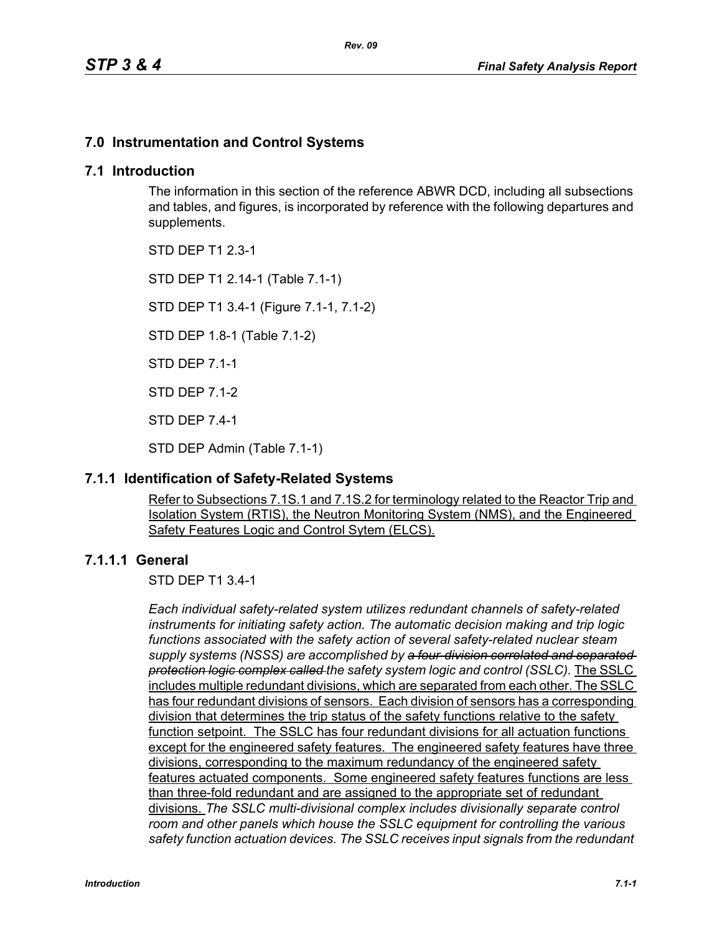# **7.0 Instrumentation and Control Systems**

#### **7.1 Introduction**

The information in this section of the reference ABWR DCD, including all subsections and tables, and figures, is incorporated by reference with the following departures and supplements.

STD DEP T1 2.3-1

STD DEP T1 2.14-1 (Table 7.1-1)

STD DEP T1 3.4-1 (Figure 7.1-1, 7.1-2)

STD DEP 1.8-1 (Table 7.1-2)

STD DEP 7.1-1

STD DEP 7.1-2

STD DEP 7.4-1

STD DEP Admin (Table 7.1-1)

### **7.1.1 Identification of Safety-Related Systems**

Refer to Subsections 7.1S.1 and 7.1S.2 for terminology related to the Reactor Trip and Isolation System (RTIS), the Neutron Monitoring System (NMS), and the Engineered Safety Features Logic and Control Sytem (ELCS).

### **7.1.1.1 General**

STD DEP T1 3.4-1

*Each individual safety-related system utilizes redundant channels of safety-related instruments for initiating safety action. The automatic decision making and trip logic functions associated with the safety action of several safety-related nuclear steam supply systems (NSSS) are accomplished by a four-division correlated and separated protection logic complex called the safety system logic and control (SSLC).* The SSLC includes multiple redundant divisions, which are separated from each other. The SSLC has four redundant divisions of sensors. Each division of sensors has a corresponding division that determines the trip status of the safety functions relative to the safety function setpoint. The SSLC has four redundant divisions for all actuation functions except for the engineered safety features. The engineered safety features have three divisions, corresponding to the maximum redundancy of the engineered safety features actuated components. Some engineered safety features functions are less than three-fold redundant and are assigned to the appropriate set of redundant divisions. *The SSLC multi-divisional complex includes divisionally separate control room and other panels which house the SSLC equipment for controlling the various safety function actuation devices. The SSLC receives input signals from the redundant*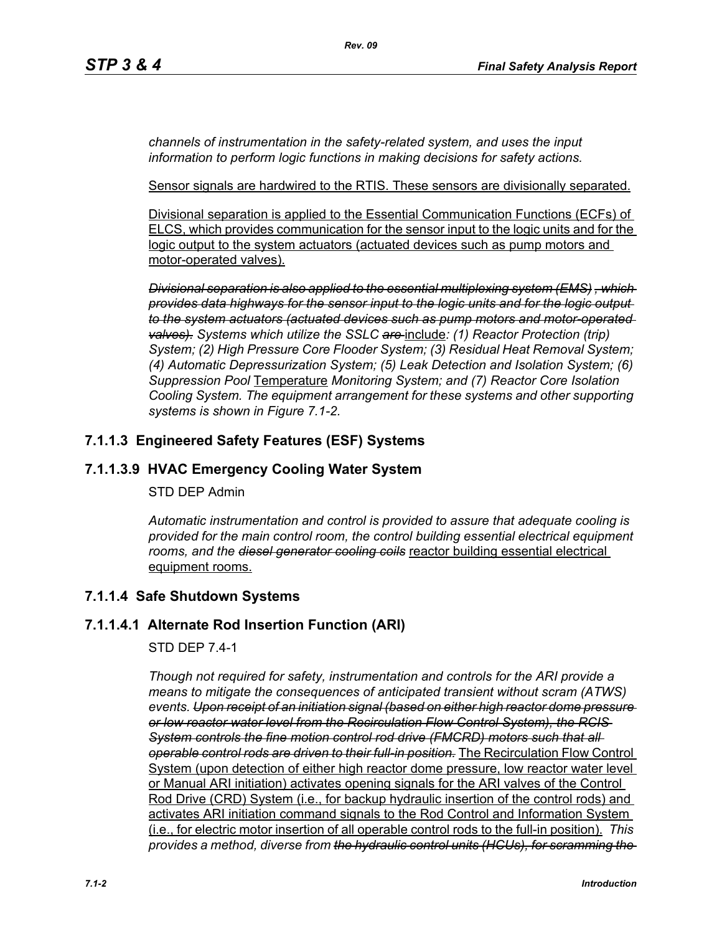*channels of instrumentation in the safety-related system, and uses the input information to perform logic functions in making decisions for safety actions.*

Sensor signals are hardwired to the RTIS. These sensors are divisionally separated.

Divisional separation is applied to the Essential Communication Functions (ECFs) of ELCS, which provides communication for the sensor input to the logic units and for the logic output to the system actuators (actuated devices such as pump motors and motor-operated valves).

*Divisional separation is also applied to the essential multiplexing system (EMS) , which provides data highways for the sensor input to the logic units and for the logic output to the system actuators (actuated devices such as pump motors and motor-operated valves). Systems which utilize the SSLC are* include*: (1) Reactor Protection (trip) System; (2) High Pressure Core Flooder System; (3) Residual Heat Removal System; (4) Automatic Depressurization System; (5) Leak Detection and Isolation System; (6) Suppression Pool* Temperature *Monitoring System; and (7) Reactor Core Isolation Cooling System. The equipment arrangement for these systems and other supporting systems is shown in Figure 7.1-2.*

# **7.1.1.3 Engineered Safety Features (ESF) Systems**

# **7.1.1.3.9 HVAC Emergency Cooling Water System**

#### STD DEP Admin

*Automatic instrumentation and control is provided to assure that adequate cooling is provided for the main control room, the control building essential electrical equipment rooms, and the diesel generator cooling coils* reactor building essential electrical equipment rooms.

# **7.1.1.4 Safe Shutdown Systems**

### **7.1.1.4.1 Alternate Rod Insertion Function (ARI)**

### STD DEP 7.4-1

*Though not required for safety, instrumentation and controls for the ARI provide a means to mitigate the consequences of anticipated transient without scram (ATWS) events. Upon receipt of an initiation signal (based on either high reactor dome pressure or low reactor water level from the Recirculation Flow Control System), the RCIS System controls the fine motion control rod drive (FMCRD) motors such that all operable control rods are driven to their full-in position.* The Recirculation Flow Control System (upon detection of either high reactor dome pressure, low reactor water level or Manual ARI initiation) activates opening signals for the ARI valves of the Control Rod Drive (CRD) System (i.e., for backup hydraulic insertion of the control rods) and activates ARI initiation command signals to the Rod Control and Information System (i.e., for electric motor insertion of all operable control rods to the full-in position). *This provides a method, diverse from the hydraulic control units (HCUs), for scramming the*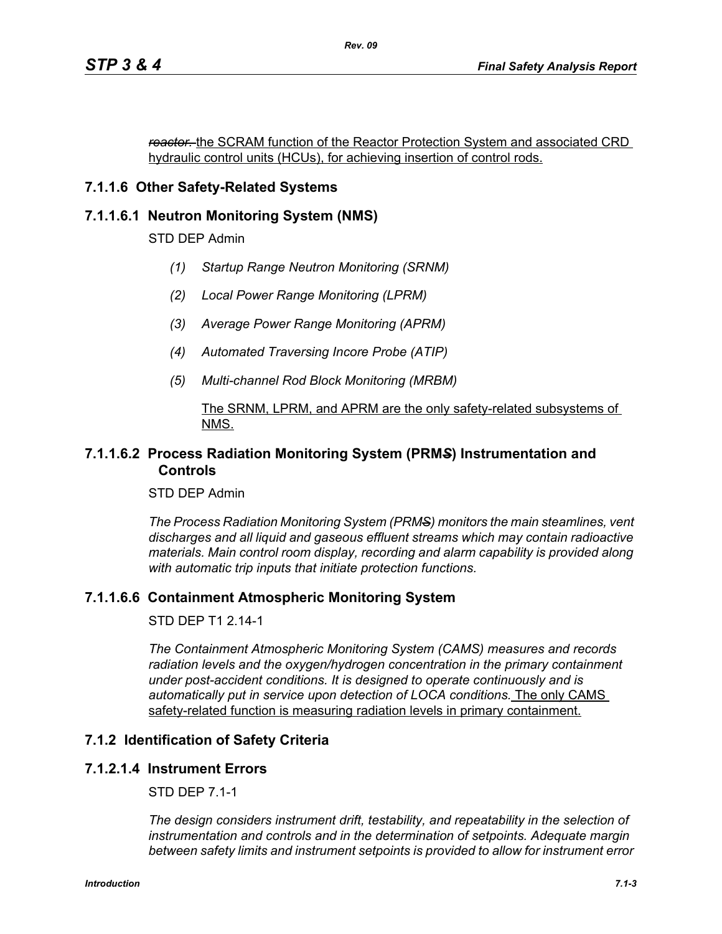*reactor.* the SCRAM function of the Reactor Protection System and associated CRD hydraulic control units (HCUs), for achieving insertion of control rods.

# **7.1.1.6 Other Safety-Related Systems**

#### **7.1.1.6.1 Neutron Monitoring System (NMS)**

STD DEP Admin

- *(1) Startup Range Neutron Monitoring (SRNM)*
- *(2) Local Power Range Monitoring (LPRM)*
- *(3) Average Power Range Monitoring (APRM)*
- *(4) Automated Traversing Incore Probe (ATIP)*
- *(5) Multi-channel Rod Block Monitoring (MRBM)*

#### The SRNM, LPRM, and APRM are the only safety-related subsystems of NMS.

#### **7.1.1.6.2 Process Radiation Monitoring System (PRM***S***) Instrumentation and Controls**

STD DEP Admin

*The Process Radiation Monitoring System (PRMS) monitors the main steamlines, vent discharges and all liquid and gaseous effluent streams which may contain radioactive materials. Main control room display, recording and alarm capability is provided along with automatic trip inputs that initiate protection functions.*

### **7.1.1.6.6 Containment Atmospheric Monitoring System**

STD DEP T1 2.14-1

*The Containment Atmospheric Monitoring System (CAMS) measures and records radiation levels and the oxygen/hydrogen concentration in the primary containment under post-accident conditions. It is designed to operate continuously and is automatically put in service upon detection of LOCA conditions.* The only CAMS safety-related function is measuring radiation levels in primary containment.

### **7.1.2 Identification of Safety Criteria**

#### **7.1.2.1.4 Instrument Errors**

STD DEP 7.1-1

*The design considers instrument drift, testability, and repeatability in the selection of instrumentation and controls and in the determination of setpoints. Adequate margin between safety limits and instrument setpoints is provided to allow for instrument error*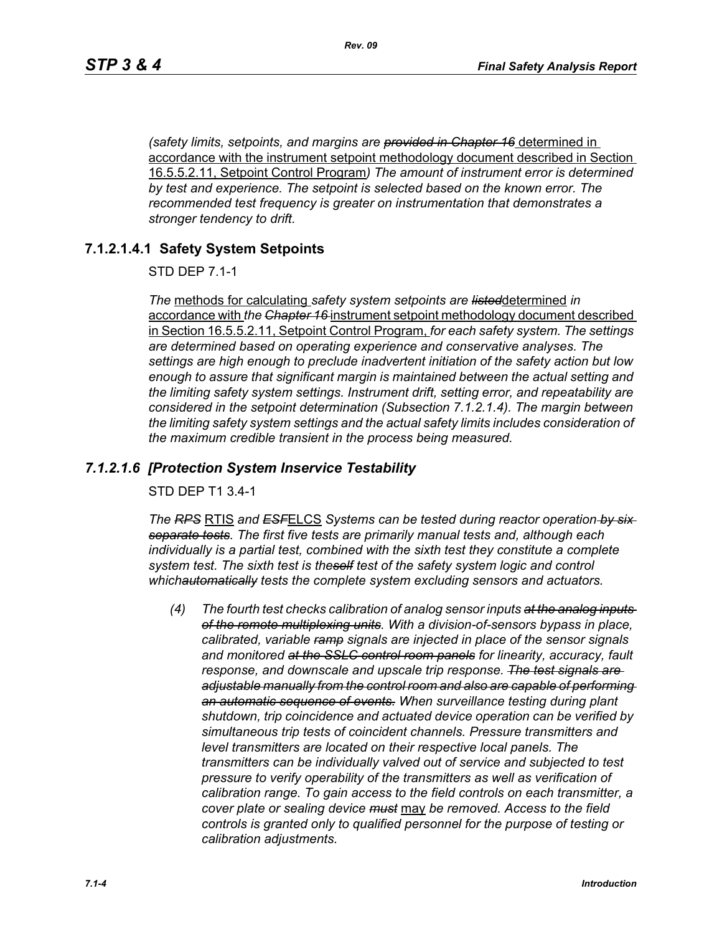*(safety limits, setpoints, and margins are provided in Chapter 16* determined in accordance with the instrument setpoint methodology document described in Section 16.5.5.2.11, Setpoint Control Program*) The amount of instrument error is determined by test and experience. The setpoint is selected based on the known error. The recommended test frequency is greater on instrumentation that demonstrates a stronger tendency to drift.*

### **7.1.2.1.4.1 Safety System Setpoints**

STD DEP 7.1-1

*The* methods for calculating *safety system setpoints are listed*determined *in*  accordance with *the Chapter 16* instrument setpoint methodology document described in Section 16.5.5.2.11, Setpoint Control Program, *for each safety system. The settings are determined based on operating experience and conservative analyses. The settings are high enough to preclude inadvertent initiation of the safety action but low enough to assure that significant margin is maintained between the actual setting and the limiting safety system settings. Instrument drift, setting error, and repeatability are considered in the setpoint determination (Subsection 7.1.2.1.4). The margin between the limiting safety system settings and the actual safety limits includes consideration of the maximum credible transient in the process being measured.*

#### *7.1.2.1.6 [Protection System Inservice Testability*

STD DEP T1 3.4-1

*The RPS* RTIS *and ESF*ELCS *Systems can be tested during reactor operation by six separate tests. The first five tests are primarily manual tests and, although each individually is a partial test, combined with the sixth test they constitute a complete system test. The sixth test is theself test of the safety system logic and control whichautomatically tests the complete system excluding sensors and actuators.*

*(4) The fourth test checks calibration of analog sensor inputs at the analog inputs of the remote multiplexing units. With a division-of-sensors bypass in place, calibrated, variable ramp signals are injected in place of the sensor signals and monitored at the SSLC control room panels for linearity, accuracy, fault response, and downscale and upscale trip response. The test signals are adjustable manually from the control room and also are capable of performing an automatic sequence of events. When surveillance testing during plant shutdown, trip coincidence and actuated device operation can be verified by simultaneous trip tests of coincident channels. Pressure transmitters and level transmitters are located on their respective local panels. The transmitters can be individually valved out of service and subjected to test pressure to verify operability of the transmitters as well as verification of calibration range. To gain access to the field controls on each transmitter, a cover plate or sealing device must* may *be removed. Access to the field controls is granted only to qualified personnel for the purpose of testing or calibration adjustments.*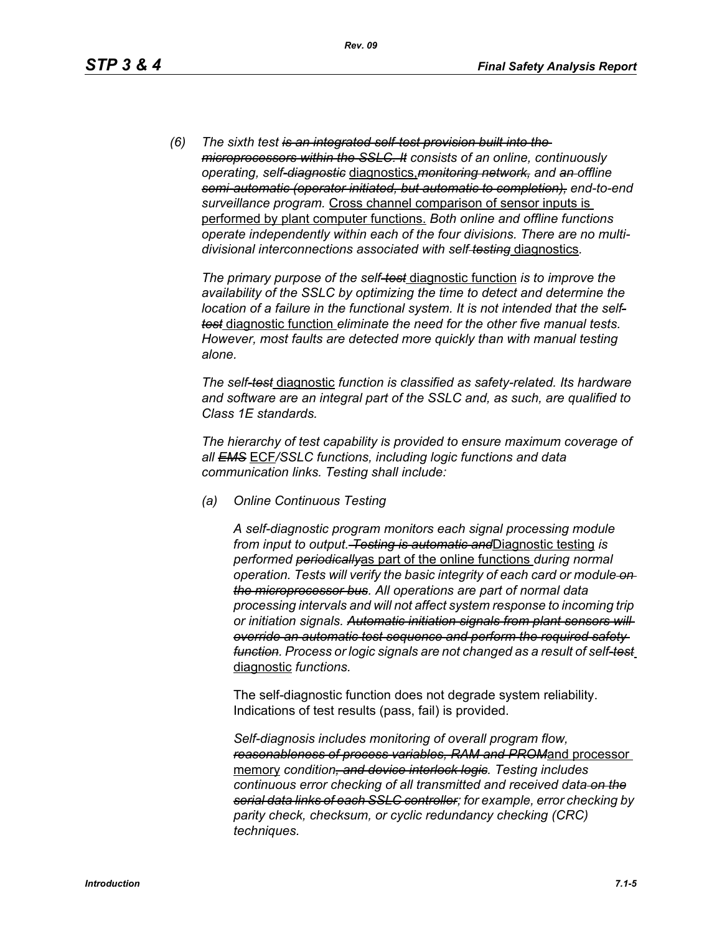*(6) The sixth test is an integrated self-test provision built into the microprocessors within the SSLC. It consists of an online, continuously operating, self-diagnostic* diagnostics,*monitoring network, and an offline semi-automatic (operator initiated, but automatic to completion), end-to-end surveillance program.* Cross channel comparison of sensor inputs is performed by plant computer functions. *Both online and offline functions operate independently within each of the four divisions. There are no multidivisional interconnections associated with self testing* diagnostics*.*

*The primary purpose of the self-test* diagnostic function *is to improve the availability of the SSLC by optimizing the time to detect and determine the location of a failure in the functional system. It is not intended that the selftest* diagnostic function *eliminate the need for the other five manual tests. However, most faults are detected more quickly than with manual testing alone.*

*The self-test* diagnostic *function is classified as safety-related. Its hardware and software are an integral part of the SSLC and, as such, are qualified to Class 1E standards.*

*The hierarchy of test capability is provided to ensure maximum coverage of all EMS* ECF*/SSLC functions, including logic functions and data communication links. Testing shall include:*

*(a) Online Continuous Testing*

*A self-diagnostic program monitors each signal processing module from input to output. Testing is automatic and*Diagnostic testing *is performed periodically*as part of the online functions *during normal operation. Tests will verify the basic integrity of each card or module on the microprocessor bus. All operations are part of normal data processing intervals and will not affect system response to incoming trip or initiation signals. Automatic initiation signals from plant sensors will override an automatic test sequence and perform the required safety function. Process or logic signals are not changed as a result of self-test* diagnostic *functions.*

The self-diagnostic function does not degrade system reliability. Indications of test results (pass, fail) is provided.

*Self-diagnosis includes monitoring of overall program flow, reasonableness of process variables, RAM and PROM*and processor memory *condition, and device interlock logic. Testing includes continuous error checking of all transmitted and received data on the serial data links of each SSLC controller; for example, error checking by parity check, checksum, or cyclic redundancy checking (CRC) techniques.*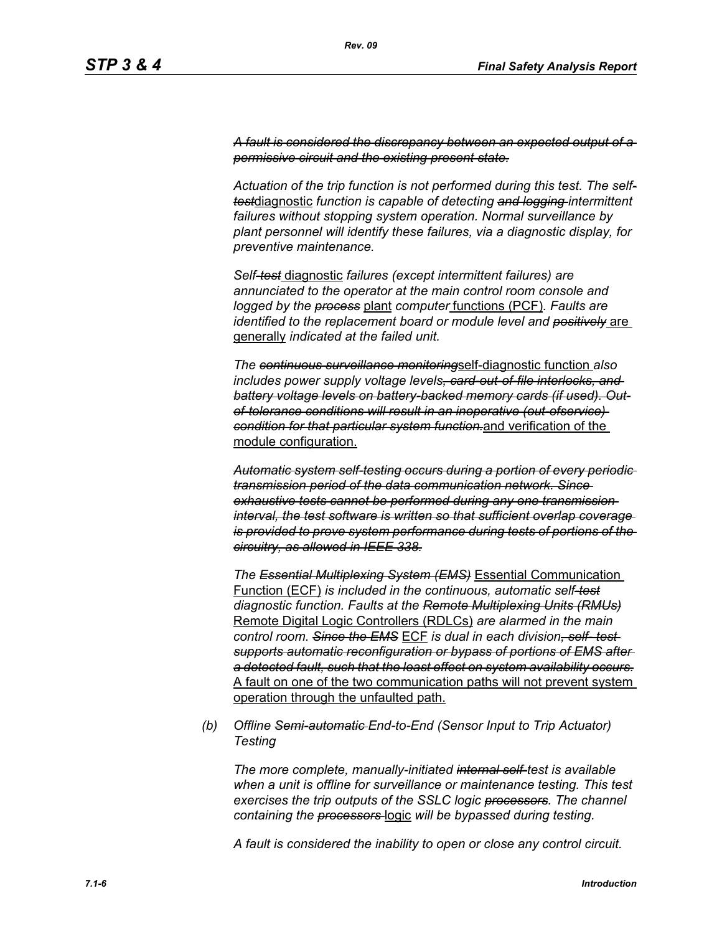*A fault is considered the discrepancy between an expected output of a permissive circuit and the existing present state.*

*Actuation of the trip function is not performed during this test. The selftest*diagnostic *function is capable of detecting and logging intermittent failures without stopping system operation. Normal surveillance by plant personnel will identify these failures, via a diagnostic display, for preventive maintenance.*

*Self-test* diagnostic *failures (except intermittent failures) are annunciated to the operator at the main control room console and logged by the process* plant *computer* functions (PCF)*. Faults are identified to the replacement board or module level and positively* are generally *indicated at the failed unit.*

*The continuous surveillance monitoring*self-diagnostic function *also includes power supply voltage levels, card-out-of-file interlocks, and battery voltage levels on battery-backed memory cards (if used). Outof-tolerance conditions will result in an inoperative (out-ofservice) condition for that particular system function.*and verification of the module configuration.

*Automatic system self-testing occurs during a portion of every periodic transmission period of the data communication network. Since exhaustive tests cannot be performed during any one transmission interval, the test software is written so that sufficient overlap coverage is provided to prove system performance during tests of portions of the circuitry, as allowed in IEEE 338.*

*The Essential Multiplexing System (EMS)* Essential Communication Function (ECF) *is included in the continuous, automatic self-test diagnostic function. Faults at the Remote Multiplexing Units (RMUs)* Remote Digital Logic Controllers (RDLCs) *are alarmed in the main control room. Since the EMS* ECF *is dual in each division, self- test supports automatic reconfiguration or bypass of portions of EMS after a detected fault, such that the least effect on system availability occurs.* A fault on one of the two communication paths will not prevent system operation through the unfaulted path.

*(b) Offline Semi-automatic End-to-End (Sensor Input to Trip Actuator) Testing*

*The more complete, manually-initiated internal self-test is available when a unit is offline for surveillance or maintenance testing. This test exercises the trip outputs of the SSLC logic processors. The channel containing the processors* logic *will be bypassed during testing.*

*A fault is considered the inability to open or close any control circuit.*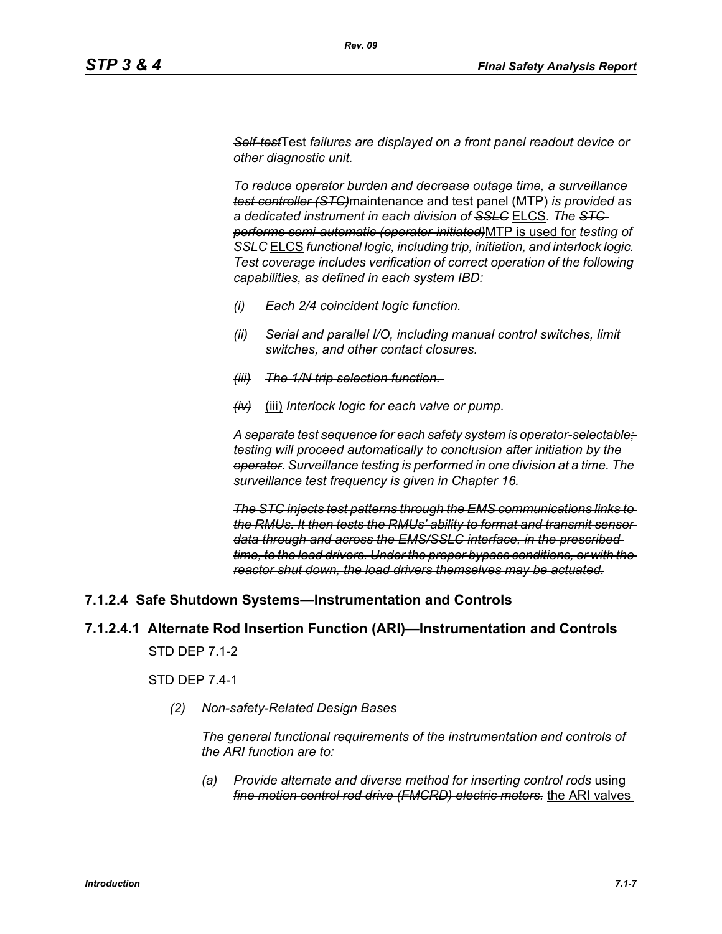*Self-test*Test *failures are displayed on a front panel readout device or other diagnostic unit.*

*To reduce operator burden and decrease outage time, a surveillance test controller (STC)*maintenance and test panel (MTP) *is provided as a dedicated instrument in each division of SSLC* ELCS. *The STC performs semi-automatic (operator-initiated)*MTP is used for *testing of SSLC* ELCS *functional logic, including trip, initiation, and interlock logic. Test coverage includes verification of correct operation of the following capabilities, as defined in each system IBD:*

- *(i) Each 2/4 coincident logic function.*
- *(ii) Serial and parallel I/O, including manual control switches, limit switches, and other contact closures.*
- *(iii) The 1/N trip selection function.*
- *(iv)* (iii) *Interlock logic for each valve or pump.*

*A separate test sequence for each safety system is operator-selectable; testing will proceed automatically to conclusion after initiation by the operator. Surveillance testing is performed in one division at a time. The surveillance test frequency is given in Chapter 16.*

*The STC injects test patterns through the EMS communications links to the RMUs. It then tests the RMUs' ability to format and transmit sensor data through and across the EMS/SSLC interface, in the prescribed time, to the load drivers. Under the proper bypass conditions, or with the reactor shut down, the load drivers themselves may be actuated.*

### **7.1.2.4 Safe Shutdown Systems—Instrumentation and Controls**

### **7.1.2.4.1 Alternate Rod Insertion Function (ARI)—Instrumentation and Controls**

STD DEP 7.1-2

STD DEP 7.4-1

*(2) Non-safety-Related Design Bases*

*The general functional requirements of the instrumentation and controls of the ARI function are to:*

*(a) Provide alternate and diverse method for inserting control rods* using *fine motion control rod drive (FMCRD) electric motors.* the ARI valves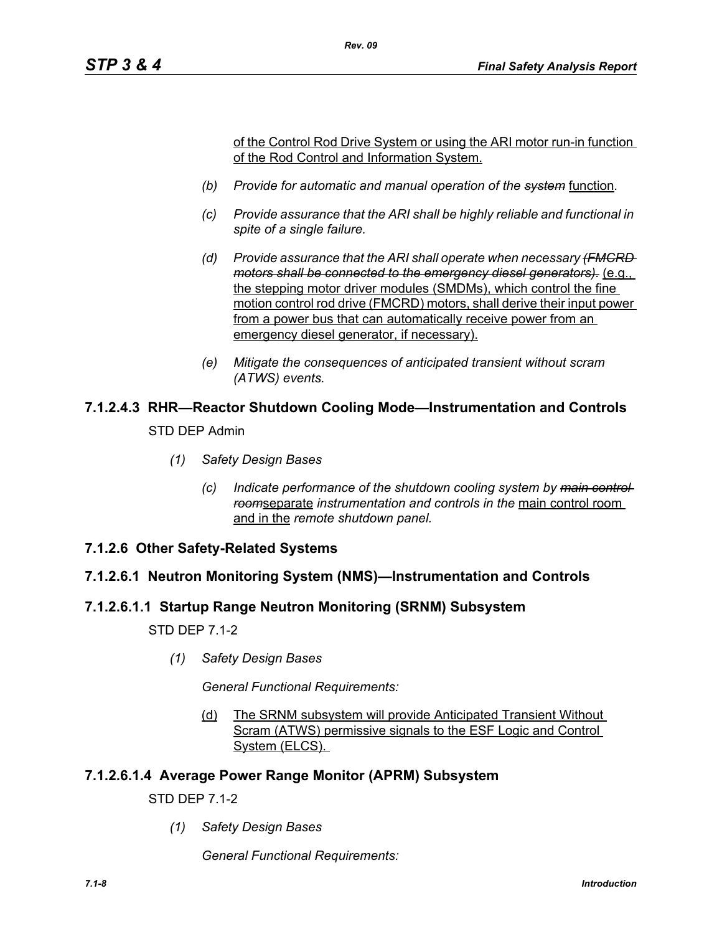of the Control Rod Drive System or using the ARI motor run-in function of the Rod Control and Information System.

*(b) Provide for automatic and manual operation of the system* function*.*

*Rev. 09*

- *(c) Provide assurance that the ARI shall be highly reliable and functional in spite of a single failure.*
- *(d) Provide assurance that the ARI shall operate when necessary (FMCRD motors shall be connected to the emergency diesel generators).* (e.g., the stepping motor driver modules (SMDMs), which control the fine motion control rod drive (FMCRD) motors, shall derive their input power from a power bus that can automatically receive power from an emergency diesel generator, if necessary).
- *(e) Mitigate the consequences of anticipated transient without scram (ATWS) events.*

# **7.1.2.4.3 RHR—Reactor Shutdown Cooling Mode—Instrumentation and Controls**

STD DEP Admin

- *(1) Safety Design Bases*
	- *(c) Indicate performance of the shutdown cooling system by main control room*separate *instrumentation and controls in the* main control room and in the *remote shutdown panel.*
- **7.1.2.6 Other Safety-Related Systems**

### **7.1.2.6.1 Neutron Monitoring System (NMS)—Instrumentation and Controls**

### **7.1.2.6.1.1 Startup Range Neutron Monitoring (SRNM) Subsystem**

STD DEP 7.1-2

*(1) Safety Design Bases*

*General Functional Requirements:*

(d) The SRNM subsystem will provide Anticipated Transient Without Scram (ATWS) permissive signals to the ESF Logic and Control System (ELCS).

### **7.1.2.6.1.4 Average Power Range Monitor (APRM) Subsystem**

STD DEP 7.1-2

*(1) Safety Design Bases*

*General Functional Requirements:*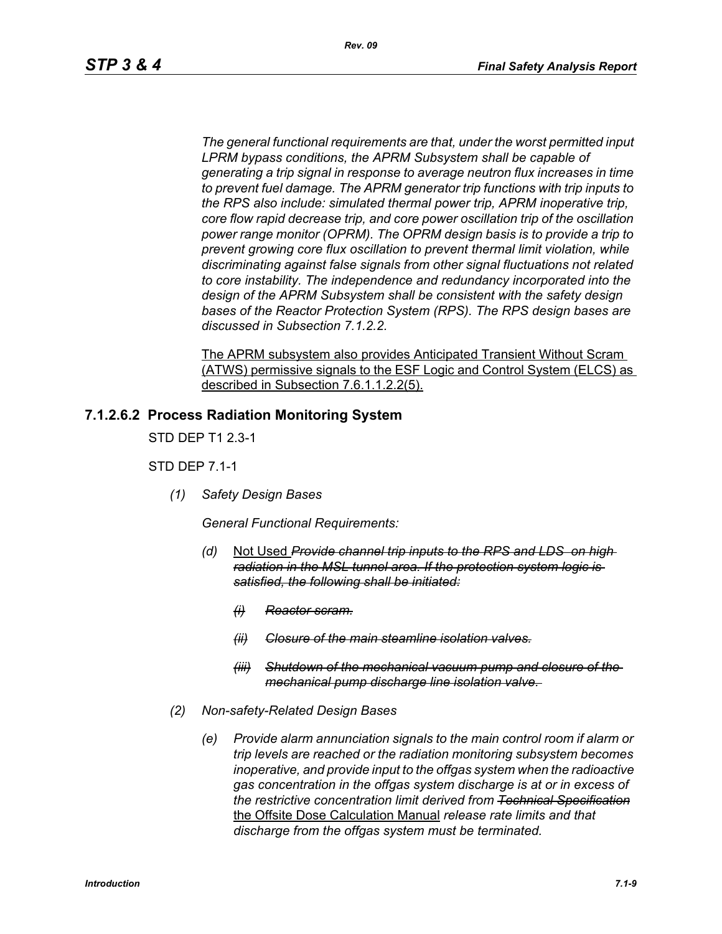*The general functional requirements are that, under the worst permitted input LPRM bypass conditions, the APRM Subsystem shall be capable of generating a trip signal in response to average neutron flux increases in time to prevent fuel damage. The APRM generator trip functions with trip inputs to the RPS also include: simulated thermal power trip, APRM inoperative trip, core flow rapid decrease trip, and core power oscillation trip of the oscillation power range monitor (OPRM). The OPRM design basis is to provide a trip to prevent growing core flux oscillation to prevent thermal limit violation, while discriminating against false signals from other signal fluctuations not related to core instability. The independence and redundancy incorporated into the design of the APRM Subsystem shall be consistent with the safety design bases of the Reactor Protection System (RPS). The RPS design bases are discussed in Subsection 7.1.2.2.*

The APRM subsystem also provides Anticipated Transient Without Scram (ATWS) permissive signals to the ESF Logic and Control System (ELCS) as described in Subsection 7.6.1.1.2.2(5).

#### **7.1.2.6.2 Process Radiation Monitoring System**

STD DEP T1 2.3-1

STD DEP 7.1-1

*(1) Safety Design Bases*

*General Functional Requirements:*

- *(d)* Not Used *Provide channel trip inputs to the RPS and LDS on high radiation in the MSL tunnel area. If the protection system logic is satisfied, the following shall be initiated:*
	- *(i) Reactor scram.*
	- *(ii) Closure of the main steamline isolation valves.*
	- *(iii) Shutdown of the mechanical vacuum pump and closure of the mechanical pump discharge line isolation valve.*
- *(2) Non-safety-Related Design Bases*
	- *(e) Provide alarm annunciation signals to the main control room if alarm or trip levels are reached or the radiation monitoring subsystem becomes inoperative, and provide input to the offgas system when the radioactive gas concentration in the offgas system discharge is at or in excess of the restrictive concentration limit derived from Technical Specification* the Offsite Dose Calculation Manual *release rate limits and that discharge from the offgas system must be terminated.*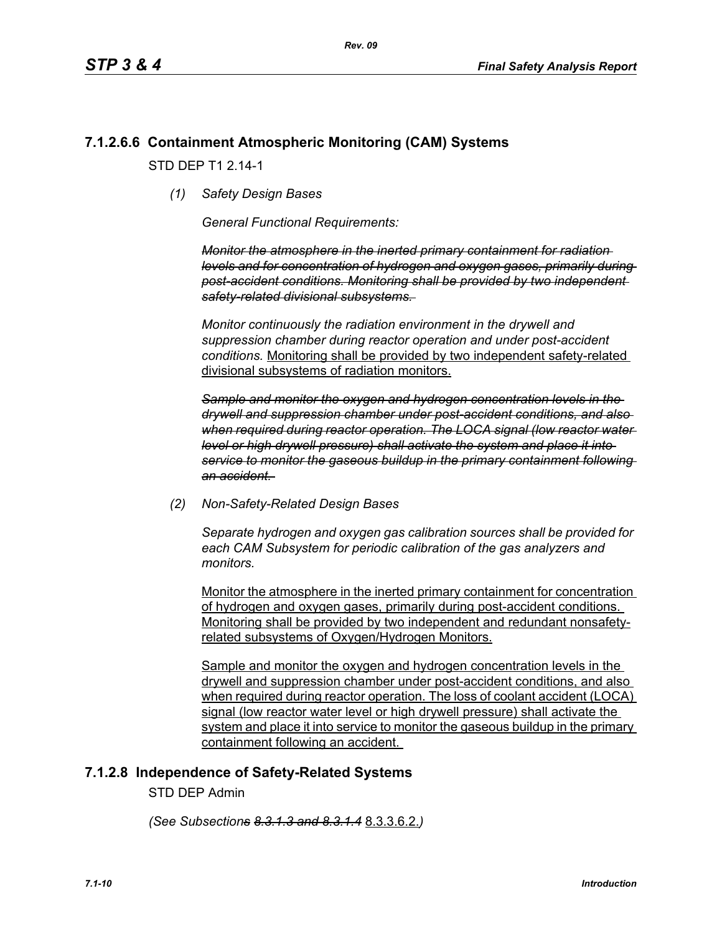## **7.1.2.6.6 Containment Atmospheric Monitoring (CAM) Systems**

STD DFP T1 2 14-1

*(1) Safety Design Bases*

*General Functional Requirements:*

*Monitor the atmosphere in the inerted primary containment for radiation levels and for concentration of hydrogen and oxygen gases, primarily during post-accident conditions. Monitoring shall be provided by two independent safety-related divisional subsystems.* 

*Monitor continuously the radiation environment in the drywell and suppression chamber during reactor operation and under post-accident conditions.* Monitoring shall be provided by two independent safety-related divisional subsystems of radiation monitors.

*Sample and monitor the oxygen and hydrogen concentration levels in the drywell and suppression chamber under post-accident conditions, and also when required during reactor operation. The LOCA signal (low reactor water level or high drywell pressure) shall activate the system and place it into service to monitor the gaseous buildup in the primary containment following an accident.* 

*(2) Non-Safety-Related Design Bases*

*Separate hydrogen and oxygen gas calibration sources shall be provided for each CAM Subsystem for periodic calibration of the gas analyzers and monitors.* 

Monitor the atmosphere in the inerted primary containment for concentration of hydrogen and oxygen gases, primarily during post-accident conditions. Monitoring shall be provided by two independent and redundant nonsafetyrelated subsystems of Oxygen/Hydrogen Monitors.

Sample and monitor the oxygen and hydrogen concentration levels in the drywell and suppression chamber under post-accident conditions, and also when required during reactor operation. The loss of coolant accident (LOCA) signal (low reactor water level or high drywell pressure) shall activate the system and place it into service to monitor the gaseous buildup in the primary containment following an accident.

### **7.1.2.8 Independence of Safety-Related Systems**

STD DEP Admin

*(See Subsections 8.3.1.3 and 8.3.1.4* 8.3.3.6.2.*)*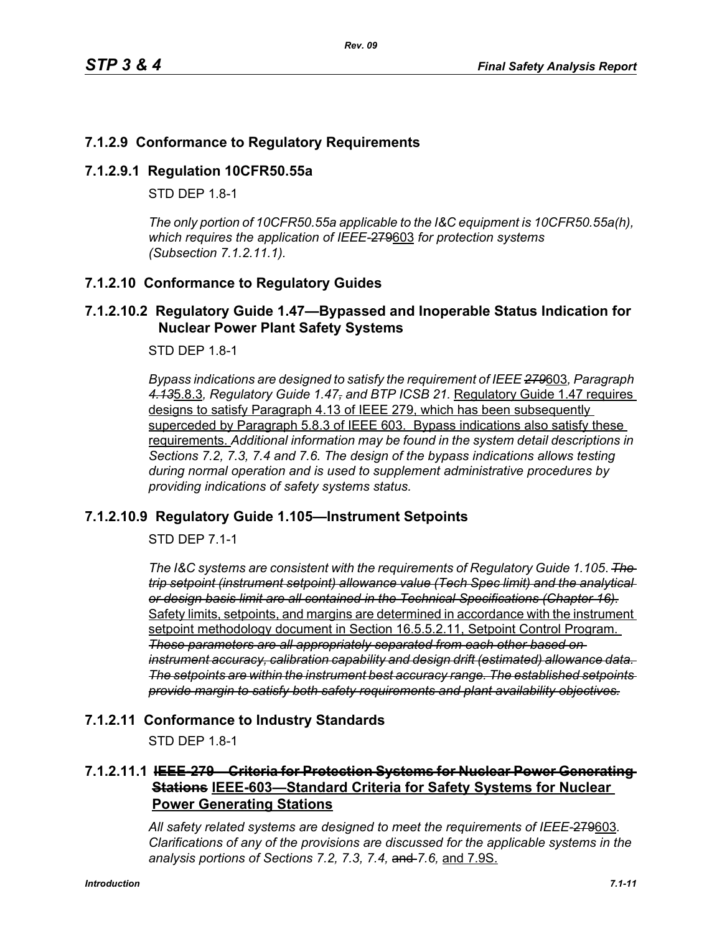# **7.1.2.9 Conformance to Regulatory Requirements**

#### **7.1.2.9.1 Regulation 10CFR50.55a**

STD DFP 18-1

*The only portion of 10CFR50.55a applicable to the I&C equipment is 10CFR50.55a(h), which requires the application of IEEE-*279603 *for protection systems (Subsection 7.1.2.11.1).*

### **7.1.2.10 Conformance to Regulatory Guides**

#### **7.1.2.10.2 Regulatory Guide 1.47—Bypassed and Inoperable Status Indication for Nuclear Power Plant Safety Systems**

STD DEP 1.8-1

*Bypass indications are designed to satisfy the requirement of IEEE 279*603*, Paragraph 4.13*5.8.3*, Regulatory Guide 1.47, and BTP ICSB 21.* Regulatory Guide 1.47 requires designs to satisfy Paragraph 4.13 of IEEE 279, which has been subsequently superceded by Paragraph 5.8.3 of IEEE 603. Bypass indications also satisfy these requirements. *Additional information may be found in the system detail descriptions in Sections 7.2, 7.3, 7.4 and 7.6. The design of the bypass indications allows testing during normal operation and is used to supplement administrative procedures by providing indications of safety systems status.*

### **7.1.2.10.9 Regulatory Guide 1.105—Instrument Setpoints**

STD DEP 7.1-1

*The I&C systems are consistent with the requirements of Regulatory Guide 1.105*. *The trip setpoint (instrument setpoint) allowance value (Tech Spec limit) and the analytical or design basis limit are all contained in the Technical Specifications (Chapter 16).* Safety limits, setpoints, and margins are determined in accordance with the instrument setpoint methodology document in Section 16.5.5.2.11, Setpoint Control Program. *These parameters are all appropriately separated from each other based on instrument accuracy, calibration capability and design drift (estimated) allowance data. The setpoints are within the instrument best accuracy range. The established setpoints provide margin to satisfy both safety requirements and plant availability objectives.*

### **7.1.2.11 Conformance to Industry Standards**

STD DEP 1.8-1

# **7.1.2.11.1 IEEE-279—Criteria for Protection Systems for Nuclear Power Generating Stations IEEE-603—Standard Criteria for Safety Systems for Nuclear Power Generating Stations**

*All safety related systems are designed to meet the requirements of IEEE-*279603*. Clarifications of any of the provisions are discussed for the applicable systems in the analysis portions of Sections 7.2, 7.3, 7.4,* and *7.6,* and 7.9S.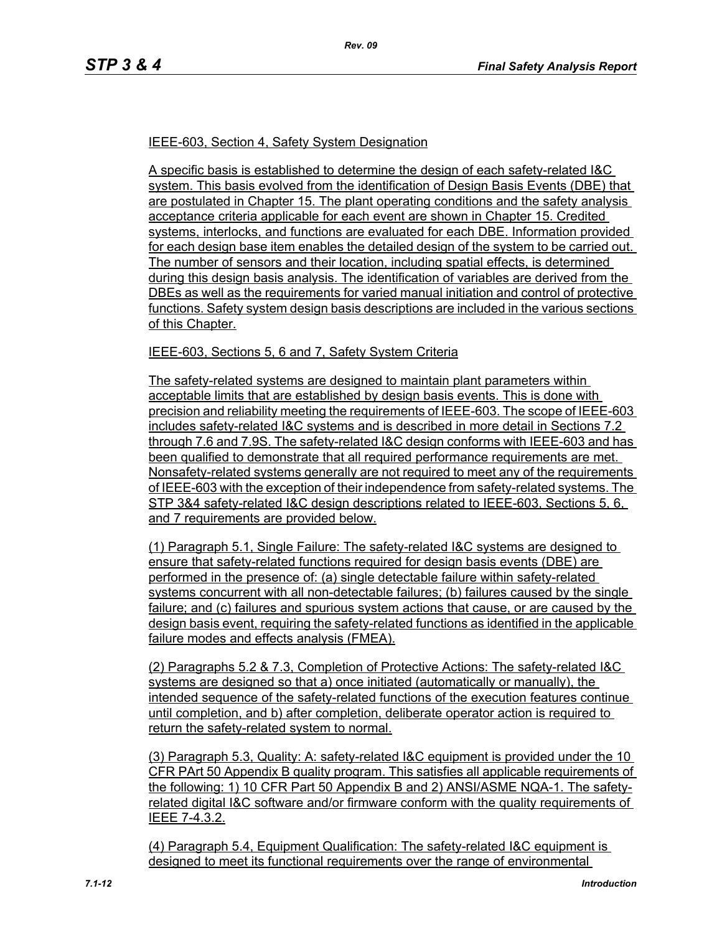#### IEEE-603, Section 4, Safety System Designation

A specific basis is established to determine the design of each safety-related I&C system. This basis evolved from the identification of Design Basis Events (DBE) that are postulated in Chapter 15. The plant operating conditions and the safety analysis acceptance criteria applicable for each event are shown in Chapter 15. Credited systems, interlocks, and functions are evaluated for each DBE. Information provided for each design base item enables the detailed design of the system to be carried out. The number of sensors and their location, including spatial effects, is determined during this design basis analysis. The identification of variables are derived from the DBEs as well as the requirements for varied manual initiation and control of protective functions. Safety system design basis descriptions are included in the various sections of this Chapter.

#### IEEE-603, Sections 5, 6 and 7, Safety System Criteria

The safety-related systems are designed to maintain plant parameters within acceptable limits that are established by design basis events. This is done with precision and reliability meeting the requirements of IEEE-603. The scope of IEEE-603 includes safety-related I&C systems and is described in more detail in Sections 7.2 through 7.6 and 7.9S. The safety-related I&C design conforms with IEEE-603 and has been qualified to demonstrate that all required performance requirements are met. Nonsafety-related systems generally are not required to meet any of the requirements of IEEE-603 with the exception of their independence from safety-related systems. The STP 3&4 safety-related I&C design descriptions related to IEEE-603, Sections 5, 6, and 7 requirements are provided below.

(1) Paragraph 5.1, Single Failure: The safety-related I&C systems are designed to ensure that safety-related functions required for design basis events (DBE) are performed in the presence of: (a) single detectable failure within safety-related systems concurrent with all non-detectable failures; (b) failures caused by the single failure; and (c) failures and spurious system actions that cause, or are caused by the design basis event, requiring the safety-related functions as identified in the applicable failure modes and effects analysis (FMEA).

(2) Paragraphs 5.2 & 7.3, Completion of Protective Actions: The safety-related I&C systems are designed so that a) once initiated (automatically or manually), the intended sequence of the safety-related functions of the execution features continue until completion, and b) after completion, deliberate operator action is required to return the safety-related system to normal.

(3) Paragraph 5.3, Quality: A: safety-related I&C equipment is provided under the 10 CFR PArt 50 Appendix B quality program. This satisfies all applicable requirements of the following: 1) 10 CFR Part 50 Appendix B and 2) ANSI/ASME NQA-1. The safetyrelated digital I&C software and/or firmware conform with the quality requirements of IEEE 7-4.3.2.

(4) Paragraph 5.4, Equipment Qualification: The safety-related I&C equipment is designed to meet its functional requirements over the range of environmental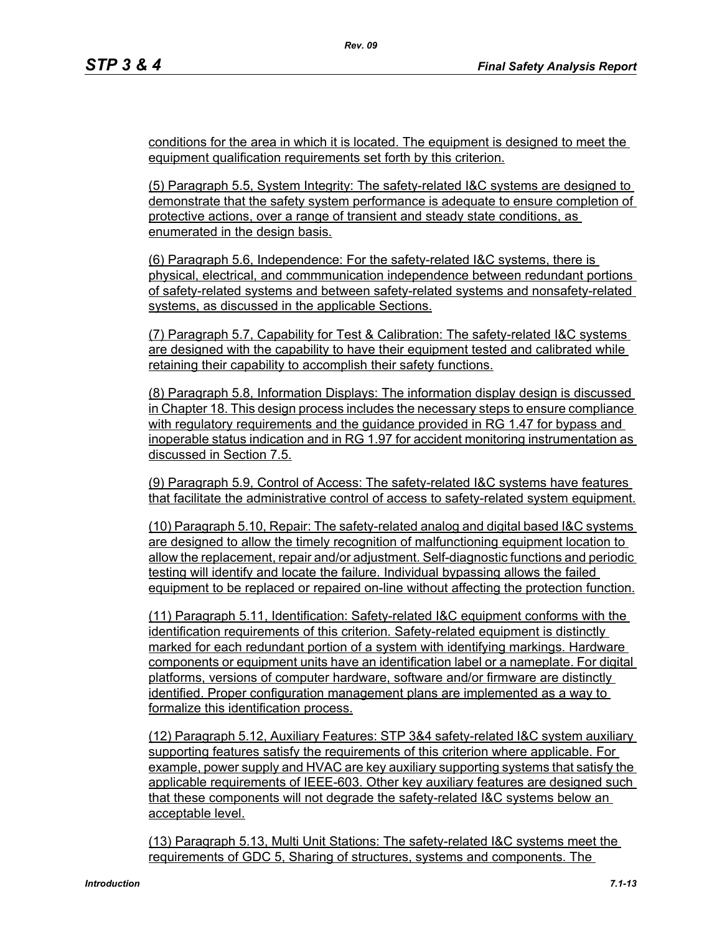conditions for the area in which it is located. The equipment is designed to meet the equipment qualification requirements set forth by this criterion.

(5) Paragraph 5.5, System Integrity: The safety-related I&C systems are designed to demonstrate that the safety system performance is adequate to ensure completion of protective actions, over a range of transient and steady state conditions, as enumerated in the design basis.

(6) Paragraph 5.6, Independence: For the safety-related I&C systems, there is physical, electrical, and commmunication independence between redundant portions of safety-related systems and between safety-related systems and nonsafety-related systems, as discussed in the applicable Sections.

(7) Paragraph 5.7, Capability for Test & Calibration: The safety-related I&C systems are designed with the capability to have their equipment tested and calibrated while retaining their capability to accomplish their safety functions.

(8) Paragraph 5.8, Information Displays: The information display design is discussed in Chapter 18. This design process includes the necessary steps to ensure compliance with regulatory requirements and the guidance provided in RG 1.47 for bypass and inoperable status indication and in RG 1.97 for accident monitoring instrumentation as discussed in Section 7.5.

(9) Paragraph 5.9, Control of Access: The safety-related I&C systems have features that facilitate the administrative control of access to safety-related system equipment.

(10) Paragraph 5.10, Repair: The safety-related analog and digital based I&C systems are designed to allow the timely recognition of malfunctioning equipment location to allow the replacement, repair and/or adjustment. Self-diagnostic functions and periodic testing will identify and locate the failure. Individual bypassing allows the failed equipment to be replaced or repaired on-line without affecting the protection function.

(11) Paragraph 5.11, Identification: Safety-related I&C equipment conforms with the identification requirements of this criterion. Safety-related equipment is distinctly marked for each redundant portion of a system with identifying markings. Hardware components or equipment units have an identification label or a nameplate. For digital platforms, versions of computer hardware, software and/or firmware are distinctly identified. Proper configuration management plans are implemented as a way to formalize this identification process.

(12) Paragraph 5.12, Auxiliary Features: STP 3&4 safety-related I&C system auxiliary supporting features satisfy the requirements of this criterion where applicable. For example, power supply and HVAC are key auxiliary supporting systems that satisfy the applicable requirements of IEEE-603. Other key auxiliary features are designed such that these components will not degrade the safety-related I&C systems below an acceptable level.

(13) Paragraph 5.13, Multi Unit Stations: The safety-related I&C systems meet the requirements of GDC 5, Sharing of structures, systems and components. The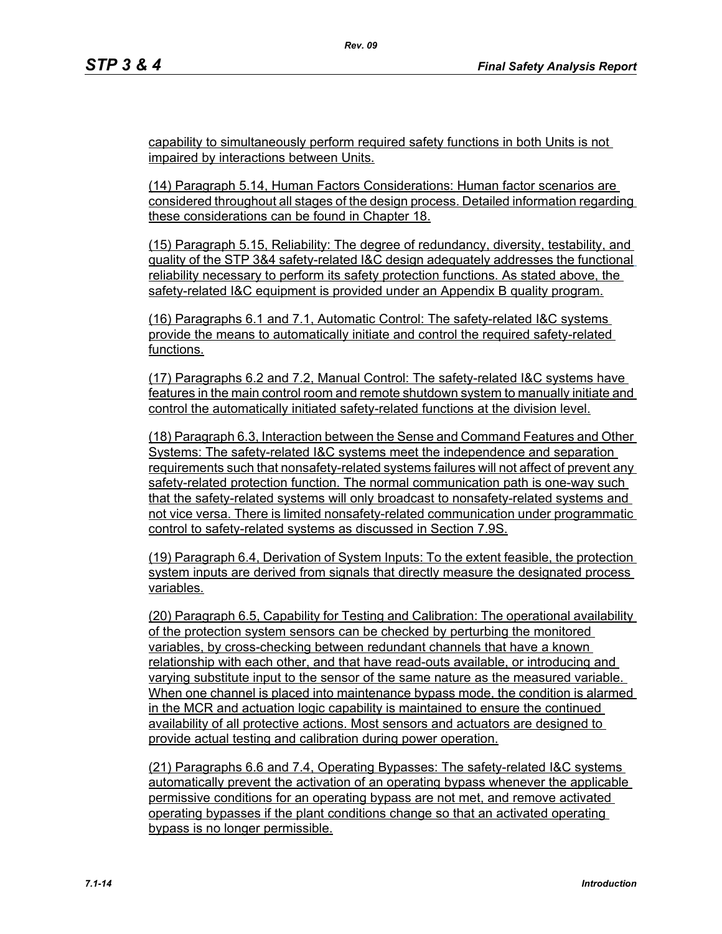capability to simultaneously perform required safety functions in both Units is not impaired by interactions between Units.

*Rev. 09*

(14) Paragraph 5.14, Human Factors Considerations: Human factor scenarios are considered throughout all stages of the design process. Detailed information regarding these considerations can be found in Chapter 18.

(15) Paragraph 5.15, Reliability: The degree of redundancy, diversity, testability, and quality of the STP 3&4 safety-related I&C design adequately addresses the functional reliability necessary to perform its safety protection functions. As stated above, the safety-related I&C equipment is provided under an Appendix B quality program.

(16) Paragraphs 6.1 and 7.1, Automatic Control: The safety-related I&C systems provide the means to automatically initiate and control the required safety-related functions.

(17) Paragraphs 6.2 and 7.2, Manual Control: The safety-related I&C systems have features in the main control room and remote shutdown system to manually initiate and control the automatically initiated safety-related functions at the division level.

(18) Paragraph 6.3, Interaction between the Sense and Command Features and Other Systems: The safety-related I&C systems meet the independence and separation requirements such that nonsafety-related systems failures will not affect of prevent any safety-related protection function. The normal communication path is one-way such that the safety-related systems will only broadcast to nonsafety-related systems and not vice versa. There is limited nonsafety-related communication under programmatic control to safety-related systems as discussed in Section 7.9S.

(19) Paragraph 6.4, Derivation of System Inputs: To the extent feasible, the protection system inputs are derived from signals that directly measure the designated process variables.

(20) Paragraph 6.5, Capability for Testing and Calibration: The operational availability of the protection system sensors can be checked by perturbing the monitored variables, by cross-checking between redundant channels that have a known relationship with each other, and that have read-outs available, or introducing and varying substitute input to the sensor of the same nature as the measured variable. When one channel is placed into maintenance bypass mode, the condition is alarmed in the MCR and actuation logic capability is maintained to ensure the continued availability of all protective actions. Most sensors and actuators are designed to provide actual testing and calibration during power operation.

(21) Paragraphs 6.6 and 7.4, Operating Bypasses: The safety-related I&C systems automatically prevent the activation of an operating bypass whenever the applicable permissive conditions for an operating bypass are not met, and remove activated operating bypasses if the plant conditions change so that an activated operating bypass is no longer permissible.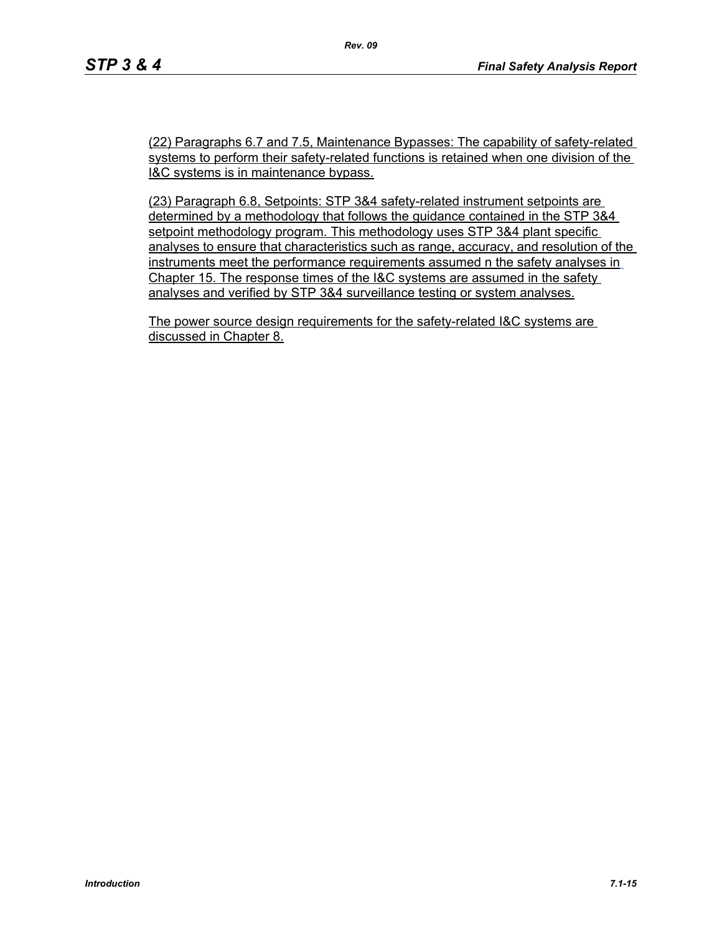(22) Paragraphs 6.7 and 7.5, Maintenance Bypasses: The capability of safety-related systems to perform their safety-related functions is retained when one division of the I&C systems is in maintenance bypass.

(23) Paragraph 6.8, Setpoints: STP 3&4 safety-related instrument setpoints are determined by a methodology that follows the guidance contained in the STP 3&4 setpoint methodology program. This methodology uses STP 3&4 plant specific analyses to ensure that characteristics such as range, accuracy, and resolution of the instruments meet the performance requirements assumed n the safety analyses in Chapter 15. The response times of the I&C systems are assumed in the safety analyses and verified by STP 3&4 surveillance testing or system analyses.

The power source design requirements for the safety-related I&C systems are discussed in Chapter 8.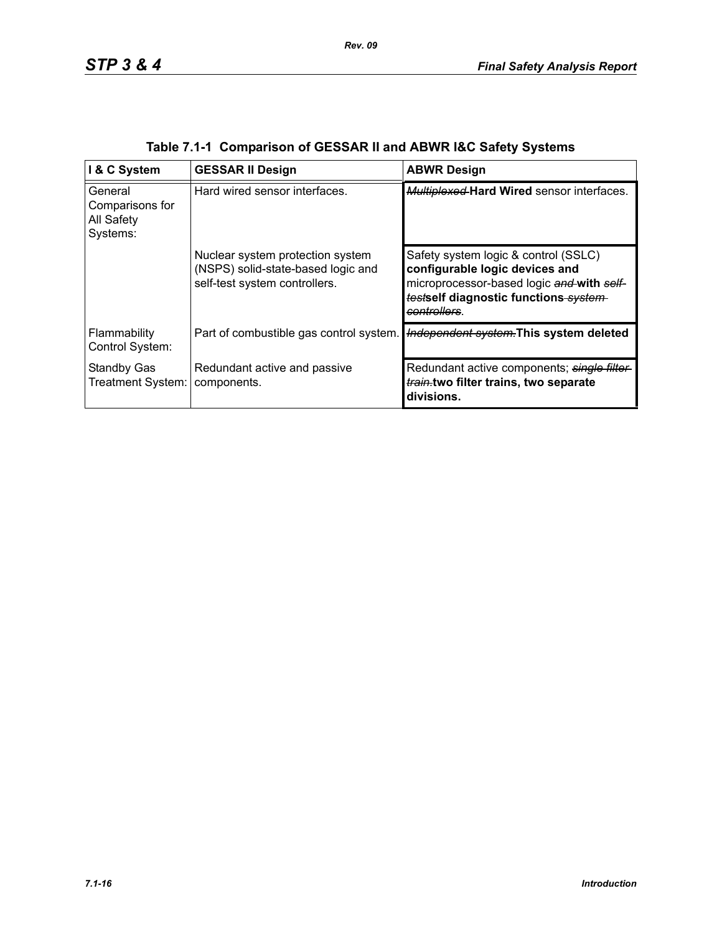| I & C System                                         | <b>GESSAR II Design</b>                                                                                 | <b>ABWR Design</b>                                                                                                                                                          |
|------------------------------------------------------|---------------------------------------------------------------------------------------------------------|-----------------------------------------------------------------------------------------------------------------------------------------------------------------------------|
| General<br>Comparisons for<br>All Safety<br>Systems: | Hard wired sensor interfaces.                                                                           | <b>Multiplexed Hard Wired sensor interfaces.</b>                                                                                                                            |
|                                                      | Nuclear system protection system<br>(NSPS) solid-state-based logic and<br>self-test system controllers. | Safety system logic & control (SSLC)<br>configurable logic devices and<br>microprocessor-based logic and with self-<br>testself diagnostic functions system-<br>controllers |
| Flammability<br>Control System:                      | Part of combustible gas control system.                                                                 | Independent system. This system deleted                                                                                                                                     |
| <b>Standby Gas</b><br>Treatment System:              | Redundant active and passive<br>components.                                                             | Redundant active components; single filter<br>train.two filter trains, two separate<br>divisions.                                                                           |

|  | Table 7.1-1 Comparison of GESSAR II and ABWR I&C Safety Systems |  |  |
|--|-----------------------------------------------------------------|--|--|
|  |                                                                 |  |  |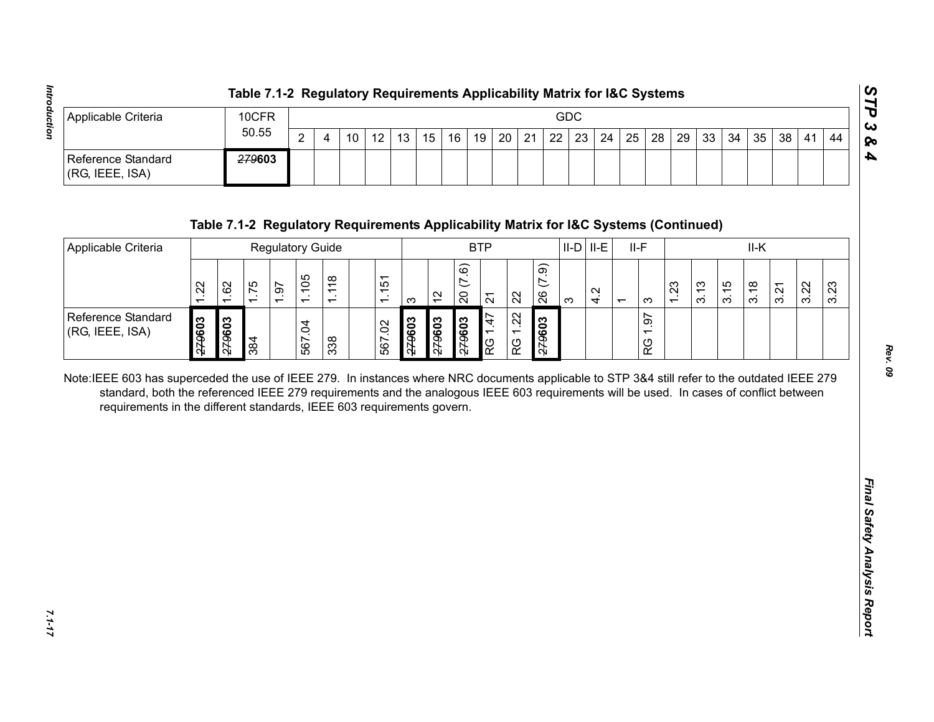|                                       | Table 7.1-2 Regulatory Requirements Applicability Matrix for I&C Systems |   |    |    |                 |  |  |  |     |  |  |  |                                                                               |  |    | ပ           |
|---------------------------------------|--------------------------------------------------------------------------|---|----|----|-----------------|--|--|--|-----|--|--|--|-------------------------------------------------------------------------------|--|----|-------------|
| Applicable Criteria                   | 10CFR                                                                    |   |    |    |                 |  |  |  | GDC |  |  |  |                                                                               |  |    | ده ا        |
|                                       | 50.55                                                                    | ົ | 10 | 12 | 13 <sub>1</sub> |  |  |  |     |  |  |  | 15   16   19   20   21   22   23   24   25   28   29   33   34   35   38   41 |  | 44 | 1 <b>Po</b> |
| Reference Standard<br>(RG, IEEE, ISA) | <del>279</del> 603                                                       |   |    |    |                 |  |  |  |     |  |  |  |                                                                               |  |    | Ð           |

| $\overline{2}$<br>22<br>12<br>21<br>23<br>24<br>25<br>28<br>29<br>33<br>34<br>35<br>38<br>10<br>13<br>15<br>16<br>19<br>20<br>44<br>$\overline{4}$<br>41<br>279603<br>Table 7.1-2 Regulatory Requirements Applicability Matrix for I&C Systems (Continued)<br><b>BTP</b><br>$II-D$ $II-E$<br>$II-F$<br>II-K<br><b>Regulatory Guide</b><br>(7.9)<br>(7.6)<br>1.105<br>1.118<br>1.151<br>62<br>1.75<br>1.23<br>3.15<br>3.22<br>1.22<br>1.97<br>3.13<br>3.23<br>3.18<br>3.21<br>4.2<br>$\overline{20}$<br>26<br>$\frac{1}{2}$<br>22<br>$\overline{2}$<br>$\infty$<br>S<br>က<br>$\overline{ }$<br>1.22<br>1.97<br>1.47<br>279603<br>279603<br>279603<br>279603<br>279603<br>509627<br>567.02<br>567.04<br>384<br>338<br>RG<br>RG<br>RG<br>Note:IEEE 603 has superceded the use of IEEE 279. In instances where NRC documents applicable to STP 3&4 still refer to the outdated IEEE 279<br>standard, both the referenced IEEE 279 requirements and the analogous IEEE 603 requirements will be used. In cases of conflict between<br>requirements in the different standards, IEEE 603 requirements govern. | Applicable Criteria                   |  | 10CFR |  |  |  |  |  |  | GDC |  |  |  |  |  |
|---------------------------------------------------------------------------------------------------------------------------------------------------------------------------------------------------------------------------------------------------------------------------------------------------------------------------------------------------------------------------------------------------------------------------------------------------------------------------------------------------------------------------------------------------------------------------------------------------------------------------------------------------------------------------------------------------------------------------------------------------------------------------------------------------------------------------------------------------------------------------------------------------------------------------------------------------------------------------------------------------------------------------------------------------------------------------------------------------------|---------------------------------------|--|-------|--|--|--|--|--|--|-----|--|--|--|--|--|
|                                                                                                                                                                                                                                                                                                                                                                                                                                                                                                                                                                                                                                                                                                                                                                                                                                                                                                                                                                                                                                                                                                         |                                       |  | 50.55 |  |  |  |  |  |  |     |  |  |  |  |  |
|                                                                                                                                                                                                                                                                                                                                                                                                                                                                                                                                                                                                                                                                                                                                                                                                                                                                                                                                                                                                                                                                                                         | Reference Standard<br>(RG, IEEE, ISA) |  |       |  |  |  |  |  |  |     |  |  |  |  |  |
|                                                                                                                                                                                                                                                                                                                                                                                                                                                                                                                                                                                                                                                                                                                                                                                                                                                                                                                                                                                                                                                                                                         |                                       |  |       |  |  |  |  |  |  |     |  |  |  |  |  |
|                                                                                                                                                                                                                                                                                                                                                                                                                                                                                                                                                                                                                                                                                                                                                                                                                                                                                                                                                                                                                                                                                                         | Applicable Criteria                   |  |       |  |  |  |  |  |  |     |  |  |  |  |  |
|                                                                                                                                                                                                                                                                                                                                                                                                                                                                                                                                                                                                                                                                                                                                                                                                                                                                                                                                                                                                                                                                                                         |                                       |  |       |  |  |  |  |  |  |     |  |  |  |  |  |
|                                                                                                                                                                                                                                                                                                                                                                                                                                                                                                                                                                                                                                                                                                                                                                                                                                                                                                                                                                                                                                                                                                         | Reference Standard<br>(RG, IEEE, ISA) |  |       |  |  |  |  |  |  |     |  |  |  |  |  |
|                                                                                                                                                                                                                                                                                                                                                                                                                                                                                                                                                                                                                                                                                                                                                                                                                                                                                                                                                                                                                                                                                                         |                                       |  |       |  |  |  |  |  |  |     |  |  |  |  |  |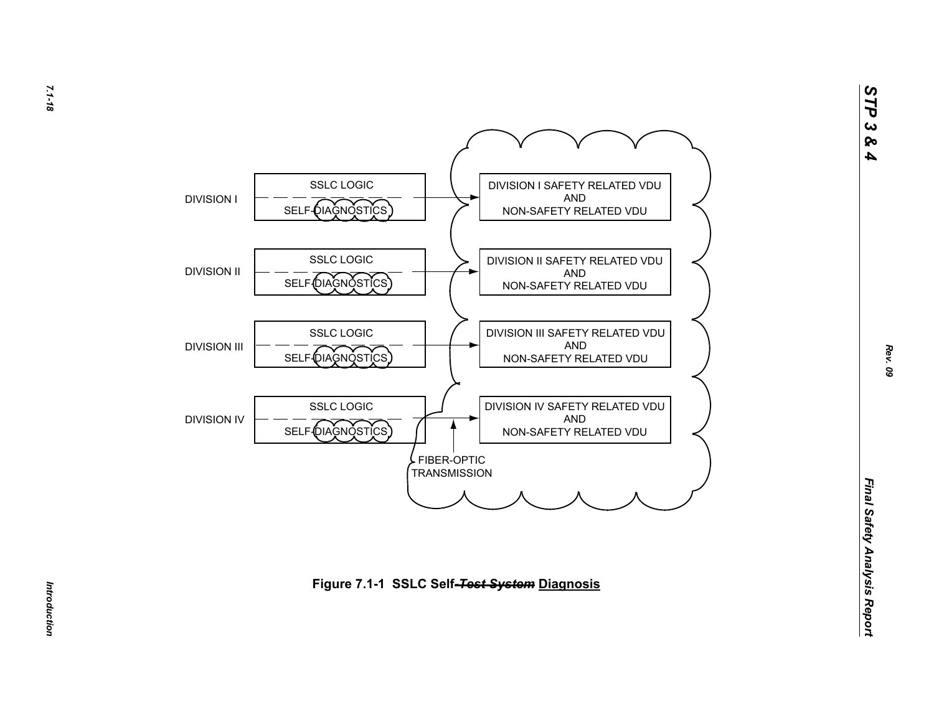